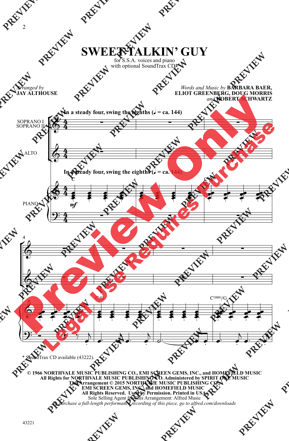## **SWEET TALKIN' GUY**

for S.S.A. voices and piano with optional SoundTrax CD\*



\* SoundTrax CD available (43222).

**© 1966 NORTHVALE MUSIC PUBLISHING CO., EMI SCREEN GEMS, INC., and HOMEFIELD MUSIC All Rights for NORTHVALE MUSIC PUBLISHING CO. Administered by SPIRIT ONE MUSIC This Arrangement © 2015 NORTHVALE MUSIC PUBLISHING CO., EMI SCREEN GEMS, INC.***,* **and HOMEFIELD MUSIC All Rights Reserved. Used by Permission. Printed in USA.** Sole Selling Agent for This Arrangement: Alfred Music *To purchase a full-length performance recording of this piece, go to alfred.com/downloads*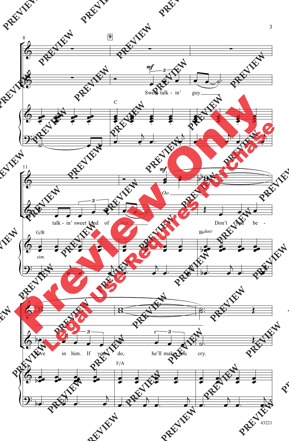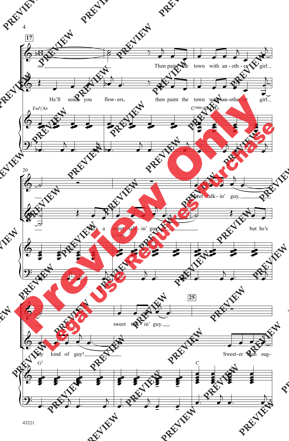![](_page_2_Figure_0.jpeg)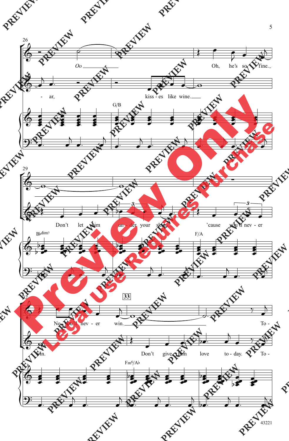![](_page_3_Figure_0.jpeg)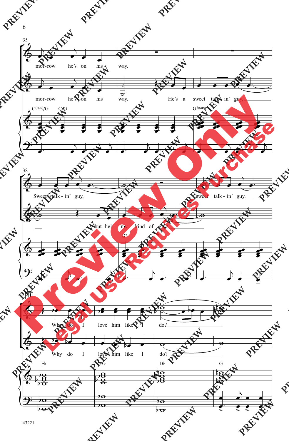![](_page_4_Figure_0.jpeg)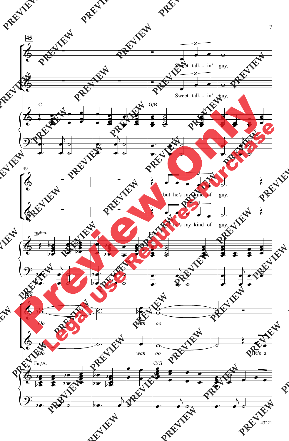![](_page_5_Figure_0.jpeg)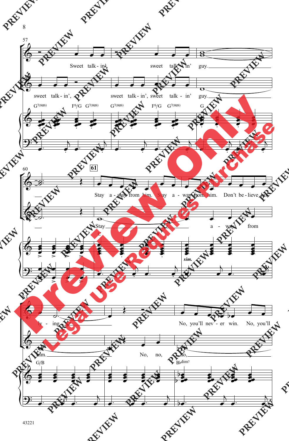![](_page_6_Figure_0.jpeg)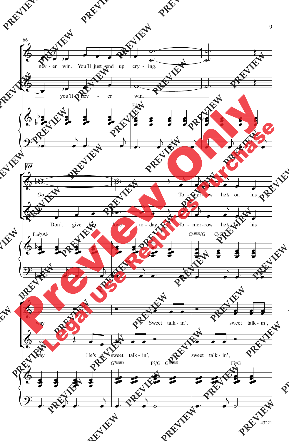![](_page_7_Figure_0.jpeg)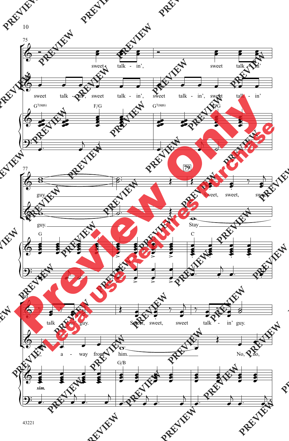![](_page_8_Figure_0.jpeg)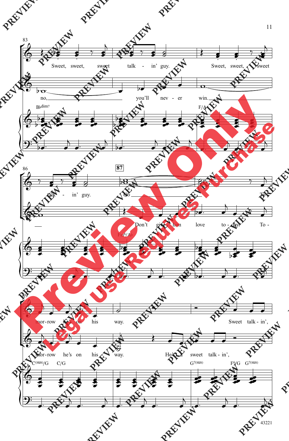![](_page_9_Figure_0.jpeg)

43221